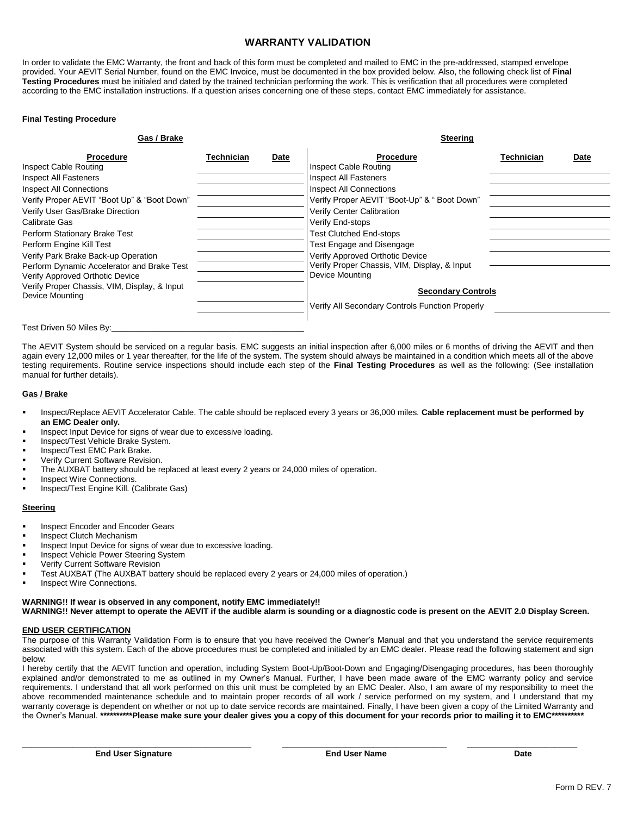# **WARRANTY VALIDATION**

In order to validate the EMC Warranty, the front and back of this form must be completed and mailed to EMC in the pre-addressed, stamped envelope provided. Your AEVIT Serial Number, found on the EMC Invoice, must be documented in the box provided below. Also, the following check list of **Final Testing Procedures** must be initialed and dated by the trained technician performing the work. This is verification that all procedures were completed according to the EMC installation instructions. If a question arises concerning one of these steps, contact EMC immediately for assistance.

#### **Final Testing Procedure**

| Gas / Brake                                                                                                                                                                                                                                                                                                                                                      |            |      | <b>Steering</b>                                                                                                                                                                                                                                                                           |            |      |
|------------------------------------------------------------------------------------------------------------------------------------------------------------------------------------------------------------------------------------------------------------------------------------------------------------------------------------------------------------------|------------|------|-------------------------------------------------------------------------------------------------------------------------------------------------------------------------------------------------------------------------------------------------------------------------------------------|------------|------|
| <b>Procedure</b><br>Inspect Cable Routing<br><b>Inspect All Fasteners</b><br><b>Inspect All Connections</b><br>Verify Proper AEVIT "Boot Up" & "Boot Down"<br>Verify User Gas/Brake Direction<br>Calibrate Gas<br>Perform Stationary Brake Test<br>Perform Engine Kill Test<br>Verify Park Brake Back-up Operation<br>Perform Dynamic Accelerator and Brake Test | Technician | Date | <b>Procedure</b><br>Inspect Cable Routing<br>Inspect All Fasteners<br>Inspect All Connections<br>Verify Proper AEVIT "Boot-Up" & " Boot Down"<br>Verify Center Calibration<br>Verify End-stops<br>Test Clutched End-stops<br>Test Engage and Disengage<br>Verify Approved Orthotic Device | Technician | Date |
| Verify Approved Orthotic Device<br>Verify Proper Chassis, VIM, Display, & Input<br>Device Mounting<br>Test Driven 50 Miles By:                                                                                                                                                                                                                                   |            |      | Verify Proper Chassis, VIM, Display, & Input<br>Device Mounting<br><b>Secondary Controls</b><br>Verify All Secondary Controls Function Properly                                                                                                                                           |            |      |

The AEVIT System should be serviced on a regular basis. EMC suggests an initial inspection after 6,000 miles or 6 months of driving the AEVIT and then again every 12,000 miles or 1 year thereafter, for the life of the system. The system should always be maintained in a condition which meets all of the above testing requirements. Routine service inspections should include each step of the **Final Testing Procedures** as well as the following: (See installation manual for further details).

#### **Gas / Brake**

- Inspect/Replace AEVIT Accelerator Cable. The cable should be replaced every 3 years or 36,000 miles. **Cable replacement must be performed by an EMC Dealer only.**
- Inspect Input Device for signs of wear due to excessive loading.
- Inspect/Test Vehicle Brake System.
- Inspect/Test EMC Park Brake.
- Verify Current Software Revision.
- The AUXBAT battery should be replaced at least every 2 years or 24,000 miles of operation.
- Inspect Wire Connections.
- Inspect/Test Engine Kill. (Calibrate Gas)

### **Steering**

- Inspect Encoder and Encoder Gears
- Inspect Clutch Mechanism
- Inspect Input Device for signs of wear due to excessive loading.
- Inspect Vehicle Power Steering System
- Verify Current Software Revision
- Test AUXBAT (The AUXBAT battery should be replaced every 2 years or 24,000 miles of operation.)
- Inspect Wire Connections.

# **WARNING!! If wear is observed in any component, notify EMC immediately!!**

**WARNING!! Never attempt to operate the AEVIT if the audible alarm is sounding or a diagnostic code is present on the AEVIT 2.0 Display Screen.**

#### **END USER CERTIFICATION**

The purpose of this Warranty Validation Form is to ensure that you have received the Owner's Manual and that you understand the service requirements associated with this system. Each of the above procedures must be completed and initialed by an EMC dealer. Please read the following statement and sign below:

I hereby certify that the AEVIT function and operation, including System Boot-Up/Boot-Down and Engaging/Disengaging procedures, has been thoroughly explained and/or demonstrated to me as outlined in my Owner's Manual. Further, I have been made aware of the EMC warranty policy and service requirements. I understand that all work performed on this unit must be completed by an EMC Dealer. Also, I am aware of my responsibility to meet the above recommended maintenance schedule and to maintain proper records of all work / service performed on my system, and I understand that my warranty coverage is dependent on whether or not up to date service records are maintained. Finally, I have been given a copy of the Limited Warranty and the Owner's Manual. **\*\*\*\*\*\*\*\*\*\*Please make sure your dealer gives you a copy of this document for your records prior to mailing it to EMC\*\*\*\*\*\*\*\*\*\***